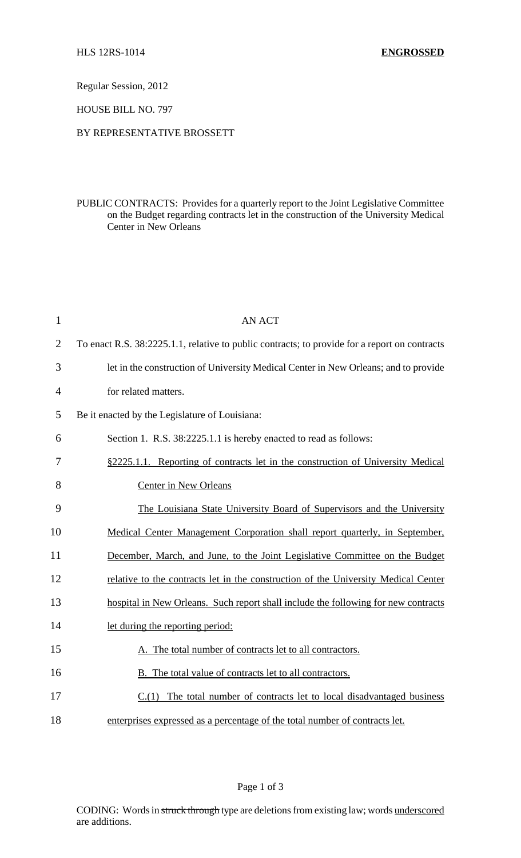Regular Session, 2012

HOUSE BILL NO. 797

## BY REPRESENTATIVE BROSSETT

PUBLIC CONTRACTS: Provides for a quarterly report to the Joint Legislative Committee on the Budget regarding contracts let in the construction of the University Medical Center in New Orleans

| $\mathbf{1}$   | <b>AN ACT</b>                                                                                 |
|----------------|-----------------------------------------------------------------------------------------------|
| $\overline{2}$ | To enact R.S. 38:2225.1.1, relative to public contracts; to provide for a report on contracts |
| 3              | let in the construction of University Medical Center in New Orleans; and to provide           |
| $\overline{4}$ | for related matters.                                                                          |
| 5              | Be it enacted by the Legislature of Louisiana:                                                |
| 6              | Section 1. R.S. 38:2225.1.1 is hereby enacted to read as follows:                             |
| 7              | §2225.1.1. Reporting of contracts let in the construction of University Medical               |
| 8              | <b>Center in New Orleans</b>                                                                  |
| 9              | The Louisiana State University Board of Supervisors and the University                        |
| 10             | Medical Center Management Corporation shall report quarterly, in September,                   |
| 11             | December, March, and June, to the Joint Legislative Committee on the Budget                   |
| 12             | relative to the contracts let in the construction of the University Medical Center            |
| 13             | hospital in New Orleans. Such report shall include the following for new contracts            |
| 14             | let during the reporting period:                                                              |
| 15             | A. The total number of contracts let to all contractors.                                      |
| 16             | B. The total value of contracts let to all contractors.                                       |
| 17             | $C(1)$ The total number of contracts let to local disadvantaged business                      |
| 18             | enterprises expressed as a percentage of the total number of contracts let.                   |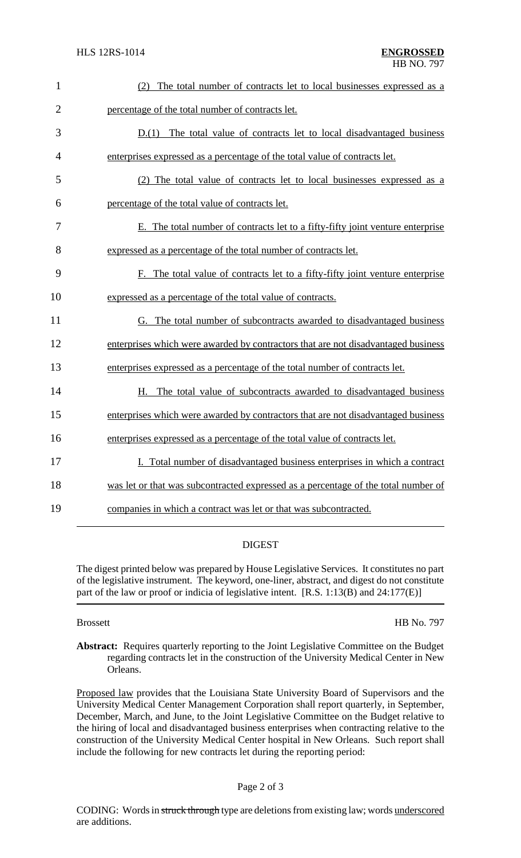| $\mathbf{1}$   | (2) The total number of contracts let to local businesses expressed as a           |
|----------------|------------------------------------------------------------------------------------|
| $\overline{2}$ | percentage of the total number of contracts let.                                   |
| 3              | $D(1)$ The total value of contracts let to local disadvantaged business            |
| 4              | enterprises expressed as a percentage of the total value of contracts let.         |
| 5              | (2) The total value of contracts let to local businesses expressed as a            |
| 6              | percentage of the total value of contracts let.                                    |
| $\tau$         | E. The total number of contracts let to a fifty-fifty joint venture enterprise     |
| 8              | expressed as a percentage of the total number of contracts let.                    |
| 9              | F. The total value of contracts let to a fifty-fifty joint venture enterprise      |
| 10             | expressed as a percentage of the total value of contracts.                         |
| 11             | G. The total number of subcontracts awarded to disadvantaged business              |
| 12             | enterprises which were awarded by contractors that are not disadvantaged business  |
| 13             | enterprises expressed as a percentage of the total number of contracts let.        |
| 14             | H. The total value of subcontracts awarded to disadvantaged business               |
| 15             | enterprises which were awarded by contractors that are not disadvantaged business  |
| 16             | enterprises expressed as a percentage of the total value of contracts let.         |
| 17             | I. Total number of disadvantaged business enterprises in which a contract          |
| 18             | was let or that was subcontracted expressed as a percentage of the total number of |
| 19             | companies in which a contract was let or that was subcontracted.                   |

## DIGEST

The digest printed below was prepared by House Legislative Services. It constitutes no part of the legislative instrument. The keyword, one-liner, abstract, and digest do not constitute part of the law or proof or indicia of legislative intent. [R.S. 1:13(B) and 24:177(E)]

Brossett HB No. 797

Abstract: Requires quarterly reporting to the Joint Legislative Committee on the Budget regarding contracts let in the construction of the University Medical Center in New Orleans.

Proposed law provides that the Louisiana State University Board of Supervisors and the University Medical Center Management Corporation shall report quarterly, in September, December, March, and June, to the Joint Legislative Committee on the Budget relative to the hiring of local and disadvantaged business enterprises when contracting relative to the construction of the University Medical Center hospital in New Orleans. Such report shall include the following for new contracts let during the reporting period: